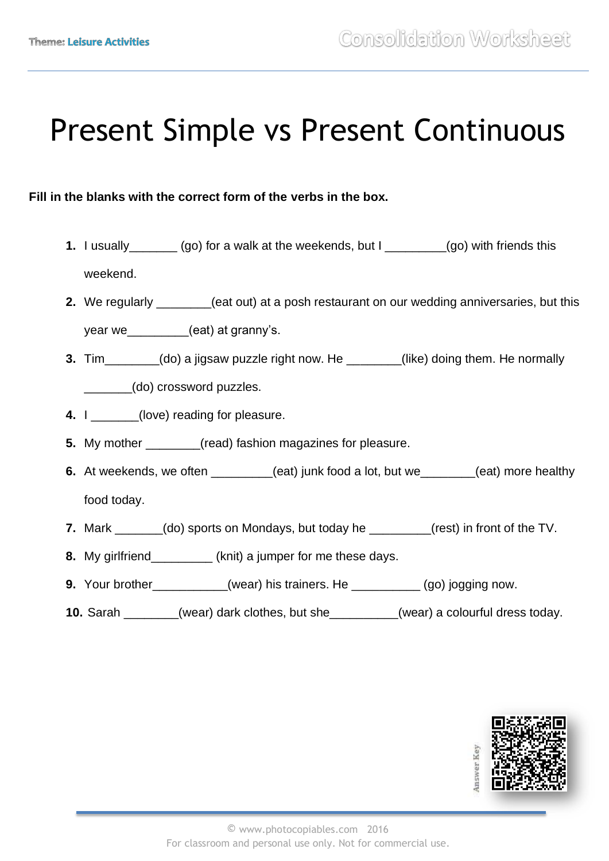# Present Simple vs Present Continuous

### **Fill in the blanks with the correct form of the verbs in the box.**

- **1.** I usually\_\_\_\_\_\_\_ (go) for a walk at the weekends, but I \_\_\_\_\_\_\_\_\_(go) with friends this weekend.
- **2.** We regularly \_\_\_\_\_\_\_\_(eat out) at a posh restaurant on our wedding anniversaries, but this year we \_\_\_\_\_\_\_\_\_\_\_(eat) at granny's.
- **3.** Tim\_\_\_\_\_\_\_\_(do) a jigsaw puzzle right now. He \_\_\_\_\_\_\_\_(like) doing them. He normally \_\_\_\_\_\_\_(do) crossword puzzles.
- **4.** I \_\_\_\_\_\_(love) reading for pleasure.
- **5.** My mother (read) fashion magazines for pleasure.
- **6.** At weekends, we often \_\_\_\_\_\_\_(eat) junk food a lot, but we\_\_\_\_\_\_(eat) more healthy food today.
- **7.** Mark \_\_\_\_\_\_\_(do) sports on Mondays, but today he \_\_\_\_\_\_\_\_\_(rest) in front of the TV.
- **8.** My girlfriend\_\_\_\_\_\_\_\_\_ (knit) a jumper for me these days.
- **9.** Your brother (wear) his trainers. He (go) jogging now.
- **10.** Sarah \_\_\_\_\_\_\_\_(wear) dark clothes, but she\_\_\_\_\_\_\_\_\_\_(wear) a colourful dress today.

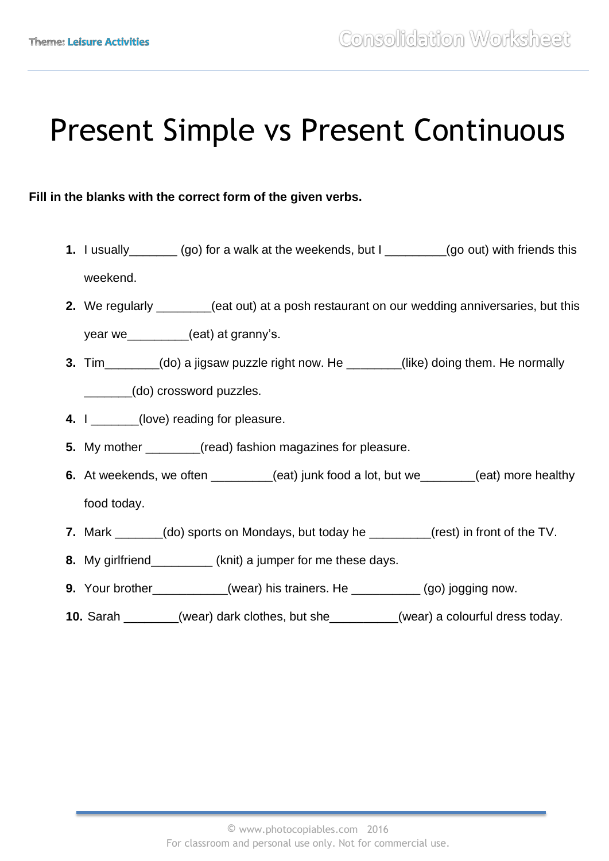# Present Simple vs Present Continuous

### **Fill in the blanks with the correct form of the given verbs.**

- **1.** I usually\_\_\_\_\_\_\_ (go) for a walk at the weekends, but I \_\_\_\_\_\_\_\_\_(go out) with friends this weekend.
- **2.** We regularly \_\_\_\_\_\_\_\_(eat out) at a posh restaurant on our wedding anniversaries, but this year we\_\_\_\_\_\_\_\_(eat) at granny's.
- **3.** Tim (do) a jigsaw puzzle right now. He (like) doing them. He normally \_\_\_\_\_\_\_(do) crossword puzzles.
- **4.** I \_\_\_\_\_\_(love) reading for pleasure.
- **5.** My mother \_\_\_\_\_\_\_\_(read) fashion magazines for pleasure.
- **6.** At weekends, we often \_\_\_\_\_\_\_(eat) junk food a lot, but we\_\_\_\_\_\_(eat) more healthy food today.
- **7.** Mark \_\_\_\_\_\_\_(do) sports on Mondays, but today he \_\_\_\_\_\_\_\_\_(rest) in front of the TV.
- **8.** My girlfriend\_\_\_\_\_\_\_\_\_ (knit) a jumper for me these days.
- **9.** Your brother (wear) his trainers. He (go) jogging now.
- **10.** Sarah \_\_\_\_\_\_\_\_(wear) dark clothes, but she\_\_\_\_\_\_\_\_\_\_(wear) a colourful dress today.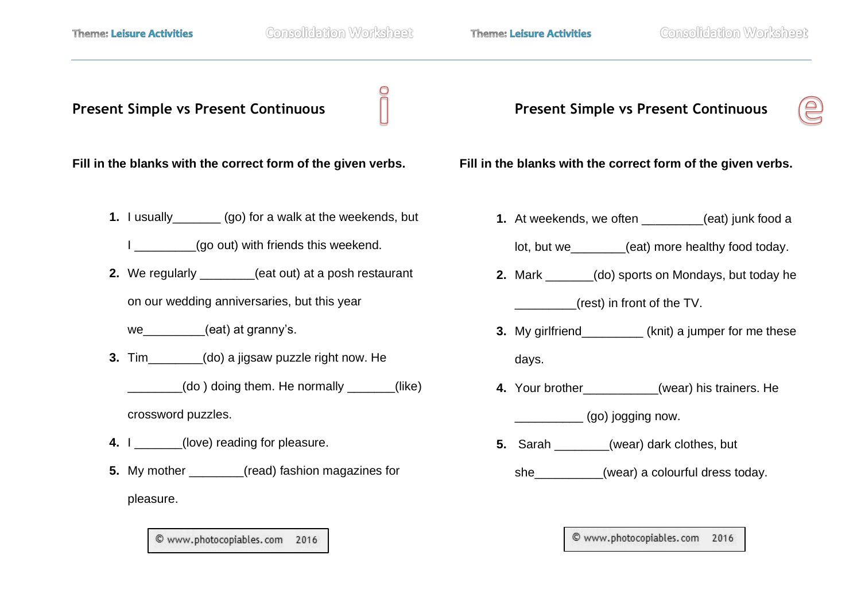**Present Simple vs Present Continuous** 

**Fill in the blanks with the correct form of the given verbs.** 

**1.** I usually\_\_\_\_\_\_\_ (go) for a walk at the weekends, but

I  $(90 \text{ out})$  with friends this weekend.

**2.** We regularly **2.** (eat out) at a posh restaurant

on our wedding anniversaries, but this year

we\_\_\_\_\_\_\_\_\_(eat) at granny's.

**3.** Tim (do) a jigsaw puzzle right now. He

 $(do)$  doing them. He normally  $(ike)$ 

crossword puzzles.

- **4.** I (love) reading for pleasure.
- **5.** My mother (read) fashion magazines for pleasure.

© www.photocopiables.com 2016

**Present Simple vs Present Continuous** 



**Fill in the blanks with the correct form of the given verbs.** 

**1.** At weekends, we often **1.** (eat) junk food a

lot, but we eat) more healthy food today.

- **2.** Mark (do) sports on Mondays, but today he \_\_\_\_\_\_\_\_\_(rest) in front of the TV.
- **3.** My girlfriend\_\_\_\_\_\_\_\_\_ (knit) a jumper for me these days.
- **4.** Your brother (wear) his trainers. He

\_\_\_\_\_\_\_\_\_\_ (go) jogging now.

- **5.** Sarah (wear) dark clothes, but
	- she\_\_\_\_\_\_\_\_\_\_(wear) a colourful dress today.

© www.photocopiables.com 2016